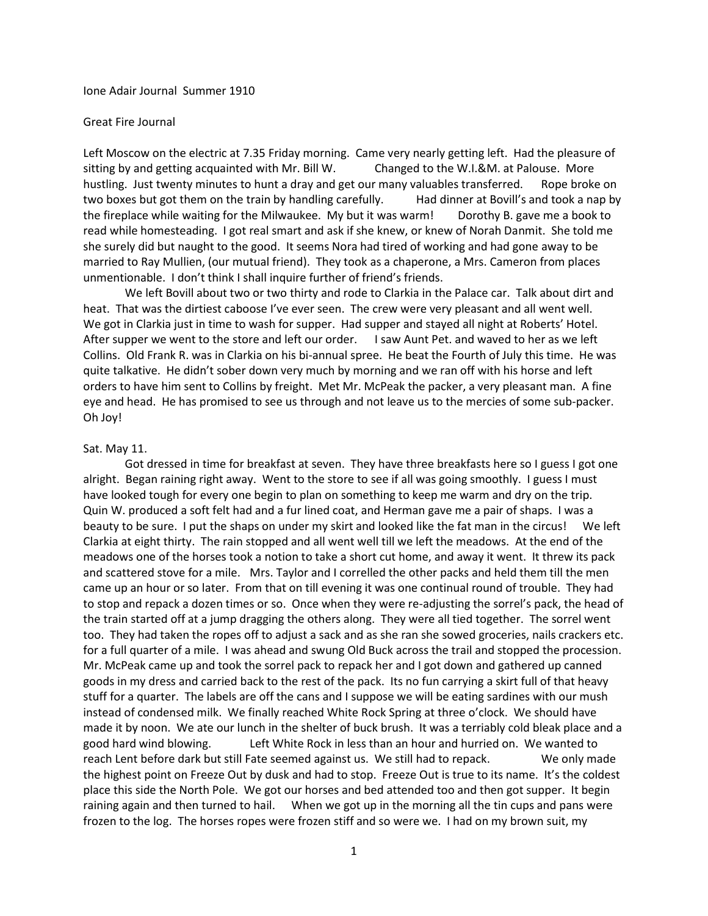Ione Adair Journal Summer 1910

#### Great Fire Journal

Left Moscow on the electric at 7.35 Friday morning. Came very nearly getting left. Had the pleasure of sitting by and getting acquainted with Mr. Bill W. Changed to the W.I.&M. at Palouse. More hustling. Just twenty minutes to hunt a dray and get our many valuables transferred. Rope broke on two boxes but got them on the train by handling carefully. Had dinner at Bovill's and took a nap by the fireplace while waiting for the Milwaukee. My but it was warm! Dorothy B. gave me a book to read while homesteading. I got real smart and ask if she knew, or knew of Norah Danmit. She told me she surely did but naught to the good. It seems Nora had tired of working and had gone away to be married to Ray Mullien, (our mutual friend). They took as a chaperone, a Mrs. Cameron from places unmentionable. I don't think I shall inquire further of friend's friends.

We left Bovill about two or two thirty and rode to Clarkia in the Palace car. Talk about dirt and heat. That was the dirtiest caboose I've ever seen. The crew were very pleasant and all went well. We got in Clarkia just in time to wash for supper. Had supper and stayed all night at Roberts' Hotel. After supper we went to the store and left our order. I saw Aunt Pet. and waved to her as we left Collins. Old Frank R. was in Clarkia on his bi-annual spree. He beat the Fourth of July this time. He was quite talkative. He didn't sober down very much by morning and we ran off with his horse and left orders to have him sent to Collins by freight. Met Mr. McPeak the packer, a very pleasant man. A fine eye and head. He has promised to see us through and not leave us to the mercies of some sub-packer. Oh Joy!

#### Sat. May 11.

Got dressed in time for breakfast at seven. They have three breakfasts here so I guess I got one alright. Began raining right away. Went to the store to see if all was going smoothly. I guess I must have looked tough for every one begin to plan on something to keep me warm and dry on the trip. Quin W. produced a soft felt had and a fur lined coat, and Herman gave me a pair of shaps. I was a beauty to be sure. I put the shaps on under my skirt and looked like the fat man in the circus! We left Clarkia at eight thirty. The rain stopped and all went well till we left the meadows. At the end of the meadows one of the horses took a notion to take a short cut home, and away it went. It threw its pack and scattered stove for a mile. Mrs. Taylor and I correlled the other packs and held them till the men came up an hour or so later. From that on till evening it was one continual round of trouble. They had to stop and repack a dozen times or so. Once when they were re-adjusting the sorrel's pack, the head of the train started off at a jump dragging the others along. They were all tied together. The sorrel went too. They had taken the ropes off to adjust a sack and as she ran she sowed groceries, nails crackers etc. for a full quarter of a mile. I was ahead and swung Old Buck across the trail and stopped the procession. Mr. McPeak came up and took the sorrel pack to repack her and I got down and gathered up canned goods in my dress and carried back to the rest of the pack. Its no fun carrying a skirt full of that heavy stuff for a quarter. The labels are off the cans and I suppose we will be eating sardines with our mush instead of condensed milk. We finally reached White Rock Spring at three o'clock. We should have made it by noon. We ate our lunch in the shelter of buck brush. It was a terriably cold bleak place and a good hard wind blowing. Left White Rock in less than an hour and hurried on. We wanted to reach Lent before dark but still Fate seemed against us. We still had to repack. We only made the highest point on Freeze Out by dusk and had to stop. Freeze Out is true to its name. It's the coldest place this side the North Pole. We got our horses and bed attended too and then got supper. It begin raining again and then turned to hail. When we got up in the morning all the tin cups and pans were frozen to the log. The horses ropes were frozen stiff and so were we. I had on my brown suit, my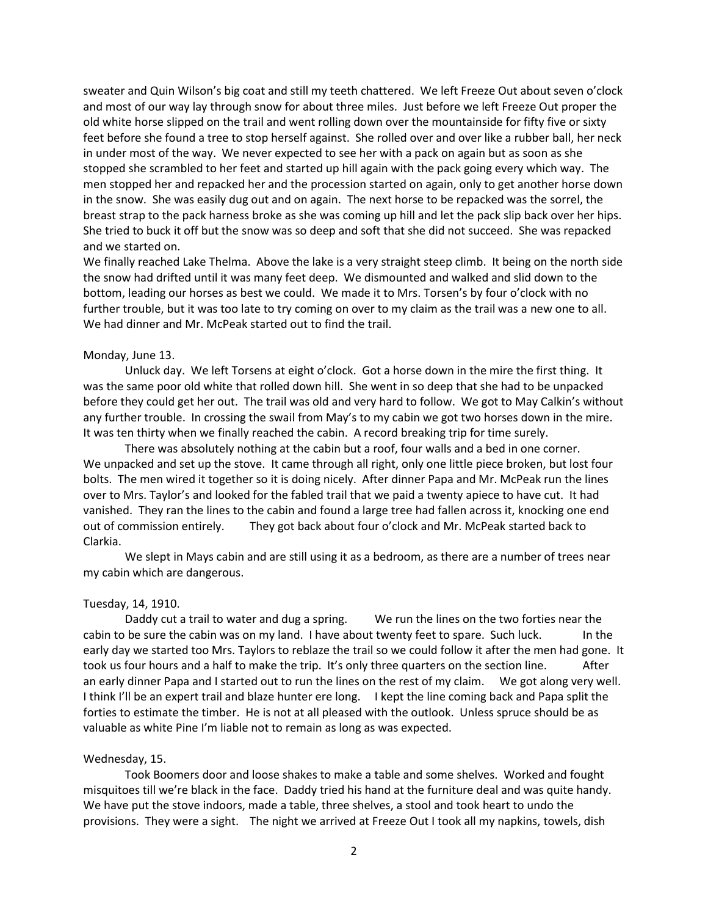sweater and Quin Wilson's big coat and still my teeth chattered. We left Freeze Out about seven o'clock and most of our way lay through snow for about three miles. Just before we left Freeze Out proper the old white horse slipped on the trail and went rolling down over the mountainside for fifty five or sixty feet before she found a tree to stop herself against. She rolled over and over like a rubber ball, her neck in under most of the way. We never expected to see her with a pack on again but as soon as she stopped she scrambled to her feet and started up hill again with the pack going every which way. The men stopped her and repacked her and the procession started on again, only to get another horse down in the snow. She was easily dug out and on again. The next horse to be repacked was the sorrel, the breast strap to the pack harness broke as she was coming up hill and let the pack slip back over her hips. She tried to buck it off but the snow was so deep and soft that she did not succeed. She was repacked and we started on.

We finally reached Lake Thelma. Above the lake is a very straight steep climb. It being on the north side the snow had drifted until it was many feet deep. We dismounted and walked and slid down to the bottom, leading our horses as best we could. We made it to Mrs. Torsen's by four o'clock with no further trouble, but it was too late to try coming on over to my claim as the trail was a new one to all. We had dinner and Mr. McPeak started out to find the trail.

### Monday, June 13.

Unluck day. We left Torsens at eight o'clock. Got a horse down in the mire the first thing. It was the same poor old white that rolled down hill. She went in so deep that she had to be unpacked before they could get her out. The trail was old and very hard to follow. We got to May Calkin's without any further trouble. In crossing the swail from May's to my cabin we got two horses down in the mire. It was ten thirty when we finally reached the cabin. A record breaking trip for time surely.

There was absolutely nothing at the cabin but a roof, four walls and a bed in one corner. We unpacked and set up the stove. It came through all right, only one little piece broken, but lost four bolts. The men wired it together so it is doing nicely. After dinner Papa and Mr. McPeak run the lines over to Mrs. Taylor's and looked for the fabled trail that we paid a twenty apiece to have cut. It had vanished. They ran the lines to the cabin and found a large tree had fallen across it, knocking one end out of commission entirely. They got back about four o'clock and Mr. McPeak started back to Clarkia.

We slept in Mays cabin and are still using it as a bedroom, as there are a number of trees near my cabin which are dangerous.

#### Tuesday, 14, 1910.

Daddy cut a trail to water and dug a spring. We run the lines on the two forties near the cabin to be sure the cabin was on my land. I have about twenty feet to spare. Such luck. In the early day we started too Mrs. Taylors to reblaze the trail so we could follow it after the men had gone. It took us four hours and a half to make the trip. It's only three quarters on the section line. After an early dinner Papa and I started out to run the lines on the rest of my claim. We got along very well. I think I'll be an expert trail and blaze hunter ere long. I kept the line coming back and Papa split the forties to estimate the timber. He is not at all pleased with the outlook. Unless spruce should be as valuable as white Pine I'm liable not to remain as long as was expected.

#### Wednesday, 15.

Took Boomers door and loose shakes to make a table and some shelves. Worked and fought misquitoes till we're black in the face. Daddy tried his hand at the furniture deal and was quite handy. We have put the stove indoors, made a table, three shelves, a stool and took heart to undo the provisions. They were a sight. The night we arrived at Freeze Out I took all my napkins, towels, dish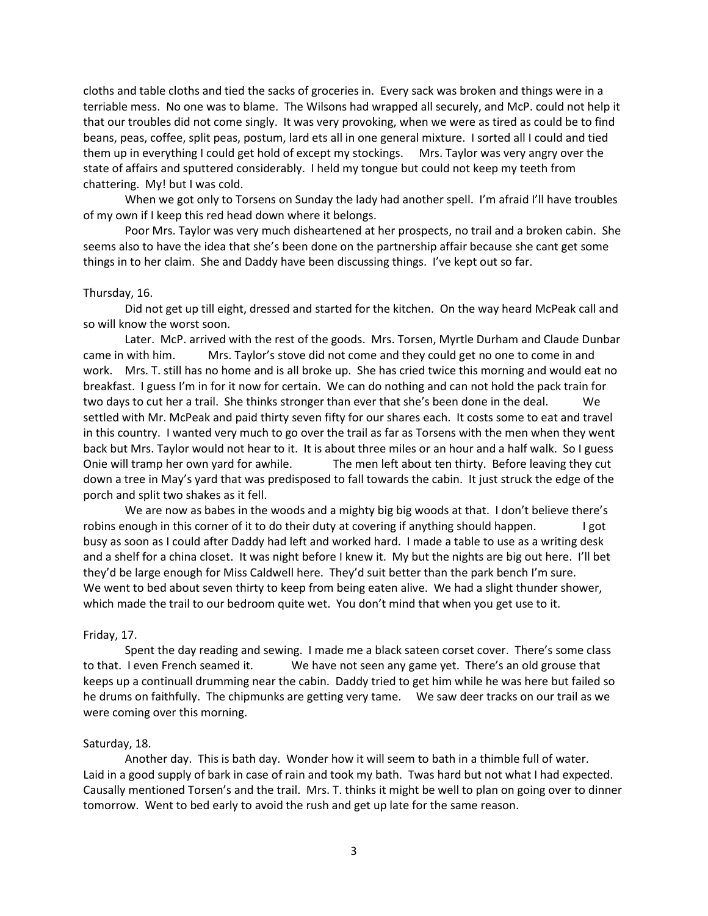cloths and table cloths and tied the sacks of groceries in. Every sack was broken and things were in a terriable mess. No one was to blame. The Wilsons had wrapped all securely, and McP. could not help it that our troubles did not come singly. It was very provoking, when we were as tired as could be to find beans, peas, coffee, split peas, postum, lard ets all in one general mixture. I sorted all I could and tied them up in everything I could get hold of except my stockings. Mrs. Taylor was very angry over the state of affairs and sputtered considerably. I held my tongue but could not keep my teeth from chattering. My! but I was cold.

When we got only to Torsens on Sunday the lady had another spell. I'm afraid I'll have troubles of my own if I keep this red head down where it belongs.

Poor Mrs. Taylor was very much disheartened at her prospects, no trail and a broken cabin. She seems also to have the idea that she's been done on the partnership affair because she cant get some things in to her claim. She and Daddy have been discussing things. I've kept out so far.

### Thursday, 16.

Did not get up till eight, dressed and started for the kitchen. On the way heard McPeak call and so will know the worst soon.

Later. McP. arrived with the rest of the goods. Mrs. Torsen, Myrtle Durham and Claude Dunbar came in with him. Mrs. Taylor's stove did not come and they could get no one to come in and work. Mrs. T. still has no home and is all broke up. She has cried twice this morning and would eat no breakfast. I guess I'm in for it now for certain. We can do nothing and can not hold the pack train for two days to cut her a trail. She thinks stronger than ever that she's been done in the deal. We settled with Mr. McPeak and paid thirty seven fifty for our shares each. It costs some to eat and travel in this country. I wanted very much to go over the trail as far as Torsens with the men when they went back but Mrs. Taylor would not hear to it. It is about three miles or an hour and a half walk. So I guess Onie will tramp her own yard for awhile. The men left about ten thirty. Before leaving they cut down a tree in May's yard that was predisposed to fall towards the cabin. It just struck the edge of the porch and split two shakes as it fell.

We are now as babes in the woods and a mighty big big woods at that. I don't believe there's robins enough in this corner of it to do their duty at covering if anything should happen. I got busy as soon as I could after Daddy had left and worked hard. I made a table to use as a writing desk and a shelf for a china closet. It was night before I knew it. My but the nights are big out here. I'll bet they'd be large enough for Miss Caldwell here. They'd suit better than the park bench I'm sure. We went to bed about seven thirty to keep from being eaten alive. We had a slight thunder shower, which made the trail to our bedroom quite wet. You don't mind that when you get use to it.

#### Friday, 17.

Spent the day reading and sewing. I made me a black sateen corset cover. There's some class to that. I even French seamed it. We have not seen any game yet. There's an old grouse that keeps up a continuall drumming near the cabin. Daddy tried to get him while he was here but failed so he drums on faithfully. The chipmunks are getting very tame. We saw deer tracks on our trail as we were coming over this morning.

#### Saturday, 18.

Another day. This is bath day. Wonder how it will seem to bath in a thimble full of water. Laid in a good supply of bark in case of rain and took my bath. Twas hard but not what I had expected. Causally mentioned Torsen's and the trail. Mrs. T. thinks it might be well to plan on going over to dinner tomorrow. Went to bed early to avoid the rush and get up late for the same reason.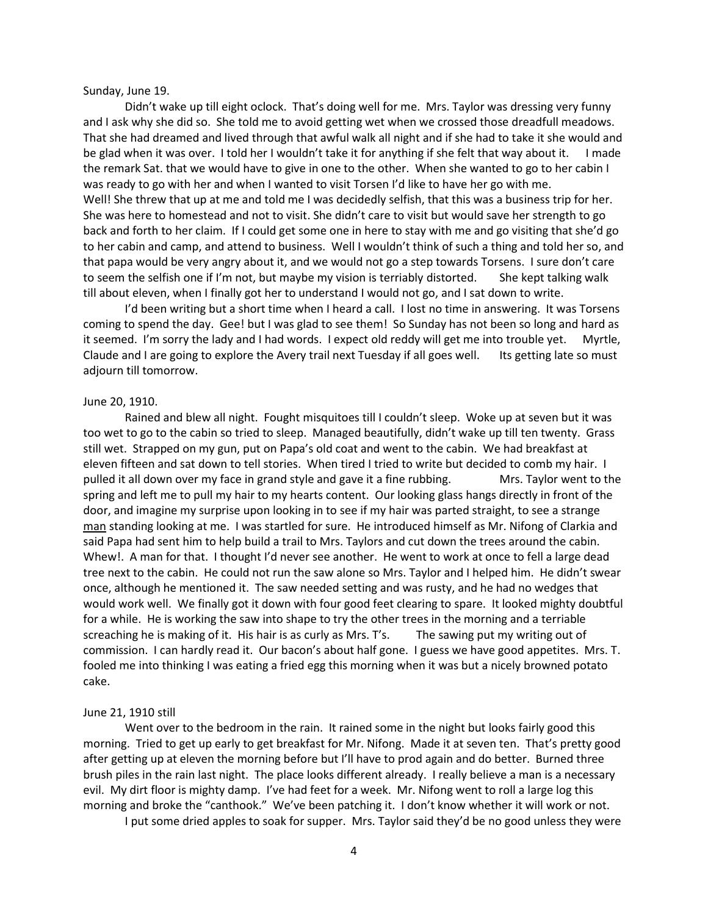Sunday, June 19.

Didn't wake up till eight oclock. That's doing well for me. Mrs. Taylor was dressing very funny and I ask why she did so. She told me to avoid getting wet when we crossed those dreadfull meadows. That she had dreamed and lived through that awful walk all night and if she had to take it she would and be glad when it was over. I told her I wouldn't take it for anything if she felt that way about it. I made the remark Sat. that we would have to give in one to the other. When she wanted to go to her cabin I was ready to go with her and when I wanted to visit Torsen I'd like to have her go with me. Well! She threw that up at me and told me I was decidedly selfish, that this was a business trip for her. She was here to homestead and not to visit. She didn't care to visit but would save her strength to go back and forth to her claim. If I could get some one in here to stay with me and go visiting that she'd go to her cabin and camp, and attend to business. Well I wouldn't think of such a thing and told her so, and that papa would be very angry about it, and we would not go a step towards Torsens. I sure don't care to seem the selfish one if I'm not, but maybe my vision is terriably distorted. She kept talking walk till about eleven, when I finally got her to understand I would not go, and I sat down to write.

I'd been writing but a short time when I heard a call. I lost no time in answering. It was Torsens coming to spend the day. Gee! but I was glad to see them! So Sunday has not been so long and hard as it seemed. I'm sorry the lady and I had words. I expect old reddy will get me into trouble yet. Myrtle, Claude and I are going to explore the Avery trail next Tuesday if all goes well. Its getting late so must adjourn till tomorrow.

#### June 20, 1910.

Rained and blew all night. Fought misquitoes till I couldn't sleep. Woke up at seven but it was too wet to go to the cabin so tried to sleep. Managed beautifully, didn't wake up till ten twenty. Grass still wet. Strapped on my gun, put on Papa's old coat and went to the cabin. We had breakfast at eleven fifteen and sat down to tell stories. When tired I tried to write but decided to comb my hair. I pulled it all down over my face in grand style and gave it a fine rubbing. Mrs. Taylor went to the spring and left me to pull my hair to my hearts content. Our looking glass hangs directly in front of the door, and imagine my surprise upon looking in to see if my hair was parted straight, to see a strange man standing looking at me. I was startled for sure. He introduced himself as Mr. Nifong of Clarkia and said Papa had sent him to help build a trail to Mrs. Taylors and cut down the trees around the cabin. Whew!. A man for that. I thought I'd never see another. He went to work at once to fell a large dead tree next to the cabin. He could not run the saw alone so Mrs. Taylor and I helped him. He didn't swear once, although he mentioned it. The saw needed setting and was rusty, and he had no wedges that would work well. We finally got it down with four good feet clearing to spare. It looked mighty doubtful for a while. He is working the saw into shape to try the other trees in the morning and a terriable screaching he is making of it. His hair is as curly as Mrs. T's. The sawing put my writing out of commission. I can hardly read it. Our bacon's about half gone. I guess we have good appetites. Mrs. T. fooled me into thinking I was eating a fried egg this morning when it was but a nicely browned potato cake.

### June 21, 1910 still

Went over to the bedroom in the rain. It rained some in the night but looks fairly good this morning. Tried to get up early to get breakfast for Mr. Nifong. Made it at seven ten. That's pretty good after getting up at eleven the morning before but I'll have to prod again and do better. Burned three brush piles in the rain last night. The place looks different already. I really believe a man is a necessary evil. My dirt floor is mighty damp. I've had feet for a week. Mr. Nifong went to roll a large log this morning and broke the "canthook." We've been patching it. I don't know whether it will work or not.

I put some dried apples to soak for supper. Mrs. Taylor said they'd be no good unless they were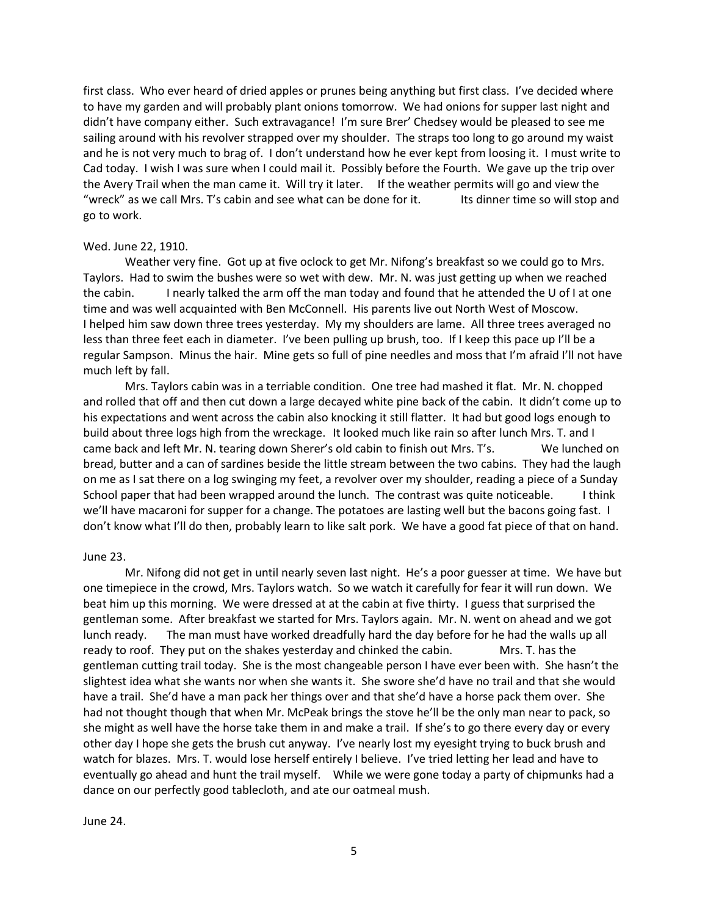first class. Who ever heard of dried apples or prunes being anything but first class. I've decided where to have my garden and will probably plant onions tomorrow. We had onions for supper last night and didn't have company either. Such extravagance! I'm sure Brer' Chedsey would be pleased to see me sailing around with his revolver strapped over my shoulder. The straps too long to go around my waist and he is not very much to brag of. I don't understand how he ever kept from loosing it. I must write to Cad today. I wish I was sure when I could mail it. Possibly before the Fourth. We gave up the trip over the Avery Trail when the man came it. Will try it later. If the weather permits will go and view the "wreck" as we call Mrs. T's cabin and see what can be done for it. Its dinner time so will stop and go to work.

### Wed. June 22, 1910.

Weather very fine. Got up at five oclock to get Mr. Nifong's breakfast so we could go to Mrs. Taylors. Had to swim the bushes were so wet with dew. Mr. N. was just getting up when we reached the cabin. I nearly talked the arm off the man today and found that he attended the U of I at one time and was well acquainted with Ben McConnell. His parents live out North West of Moscow. I helped him saw down three trees yesterday. My my shoulders are lame. All three trees averaged no less than three feet each in diameter. I've been pulling up brush, too. If I keep this pace up I'll be a regular Sampson. Minus the hair. Mine gets so full of pine needles and moss that I'm afraid I'll not have much left by fall.

Mrs. Taylors cabin was in a terriable condition. One tree had mashed it flat. Mr. N. chopped and rolled that off and then cut down a large decayed white pine back of the cabin. It didn't come up to his expectations and went across the cabin also knocking it still flatter. It had but good logs enough to build about three logs high from the wreckage. It looked much like rain so after lunch Mrs. T. and I came back and left Mr. N. tearing down Sherer's old cabin to finish out Mrs. T's. We lunched on bread, butter and a can of sardines beside the little stream between the two cabins. They had the laugh on me as I sat there on a log swinging my feet, a revolver over my shoulder, reading a piece of a Sunday School paper that had been wrapped around the lunch. The contrast was quite noticeable. I think we'll have macaroni for supper for a change. The potatoes are lasting well but the bacons going fast. I don't know what I'll do then, probably learn to like salt pork. We have a good fat piece of that on hand.

### June 23.

Mr. Nifong did not get in until nearly seven last night. He's a poor guesser at time. We have but one timepiece in the crowd, Mrs. Taylors watch. So we watch it carefully for fear it will run down. We beat him up this morning. We were dressed at at the cabin at five thirty. I guess that surprised the gentleman some. After breakfast we started for Mrs. Taylors again. Mr. N. went on ahead and we got lunch ready. The man must have worked dreadfully hard the day before for he had the walls up all ready to roof. They put on the shakes yesterday and chinked the cabin. Mrs. T. has the gentleman cutting trail today. She is the most changeable person I have ever been with. She hasn't the slightest idea what she wants nor when she wants it. She swore she'd have no trail and that she would have a trail. She'd have a man pack her things over and that she'd have a horse pack them over. She had not thought though that when Mr. McPeak brings the stove he'll be the only man near to pack, so she might as well have the horse take them in and make a trail. If she's to go there every day or every other day I hope she gets the brush cut anyway. I've nearly lost my eyesight trying to buck brush and watch for blazes. Mrs. T. would lose herself entirely I believe. I've tried letting her lead and have to eventually go ahead and hunt the trail myself. While we were gone today a party of chipmunks had a dance on our perfectly good tablecloth, and ate our oatmeal mush.

June 24.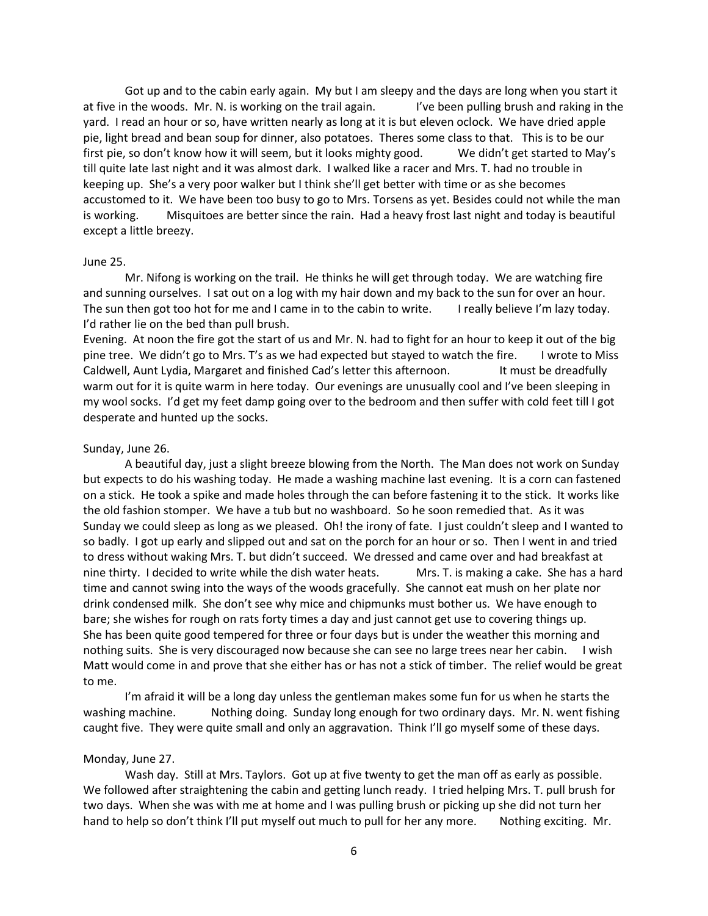Got up and to the cabin early again. My but I am sleepy and the days are long when you start it at five in the woods. Mr. N. is working on the trail again. If ye been pulling brush and raking in the yard. I read an hour or so, have written nearly as long at it is but eleven oclock. We have dried apple pie, light bread and bean soup for dinner, also potatoes. Theres some class to that. This is to be our first pie, so don't know how it will seem, but it looks mighty good. We didn't get started to May's till quite late last night and it was almost dark. I walked like a racer and Mrs. T. had no trouble in keeping up. She's a very poor walker but I think she'll get better with time or as she becomes accustomed to it. We have been too busy to go to Mrs. Torsens as yet. Besides could not while the man is working. Misquitoes are better since the rain. Had a heavy frost last night and today is beautiful except a little breezy.

#### June 25.

Mr. Nifong is working on the trail. He thinks he will get through today. We are watching fire and sunning ourselves. I sat out on a log with my hair down and my back to the sun for over an hour. The sun then got too hot for me and I came in to the cabin to write. I really believe I'm lazy today. I'd rather lie on the bed than pull brush.

Evening. At noon the fire got the start of us and Mr. N. had to fight for an hour to keep it out of the big pine tree. We didn't go to Mrs. T's as we had expected but stayed to watch the fire. I wrote to Miss Caldwell, Aunt Lydia, Margaret and finished Cad's letter this afternoon. It must be dreadfully warm out for it is quite warm in here today. Our evenings are unusually cool and I've been sleeping in my wool socks. I'd get my feet damp going over to the bedroom and then suffer with cold feet till I got desperate and hunted up the socks.

### Sunday, June 26.

A beautiful day, just a slight breeze blowing from the North. The Man does not work on Sunday but expects to do his washing today. He made a washing machine last evening. It is a corn can fastened on a stick. He took a spike and made holes through the can before fastening it to the stick. It works like the old fashion stomper. We have a tub but no washboard. So he soon remedied that. As it was Sunday we could sleep as long as we pleased. Oh! the irony of fate. I just couldn't sleep and I wanted to so badly. I got up early and slipped out and sat on the porch for an hour or so. Then I went in and tried to dress without waking Mrs. T. but didn't succeed. We dressed and came over and had breakfast at nine thirty. I decided to write while the dish water heats. Mrs. T. is making a cake. She has a hard time and cannot swing into the ways of the woods gracefully. She cannot eat mush on her plate nor drink condensed milk. She don't see why mice and chipmunks must bother us. We have enough to bare; she wishes for rough on rats forty times a day and just cannot get use to covering things up. She has been quite good tempered for three or four days but is under the weather this morning and nothing suits. She is very discouraged now because she can see no large trees near her cabin. I wish Matt would come in and prove that she either has or has not a stick of timber. The relief would be great to me.

I'm afraid it will be a long day unless the gentleman makes some fun for us when he starts the washing machine. Nothing doing. Sunday long enough for two ordinary days. Mr. N. went fishing caught five. They were quite small and only an aggravation. Think I'll go myself some of these days.

### Monday, June 27.

Wash day. Still at Mrs. Taylors. Got up at five twenty to get the man off as early as possible. We followed after straightening the cabin and getting lunch ready. I tried helping Mrs. T. pull brush for two days. When she was with me at home and I was pulling brush or picking up she did not turn her hand to help so don't think I'll put myself out much to pull for her any more. Nothing exciting. Mr.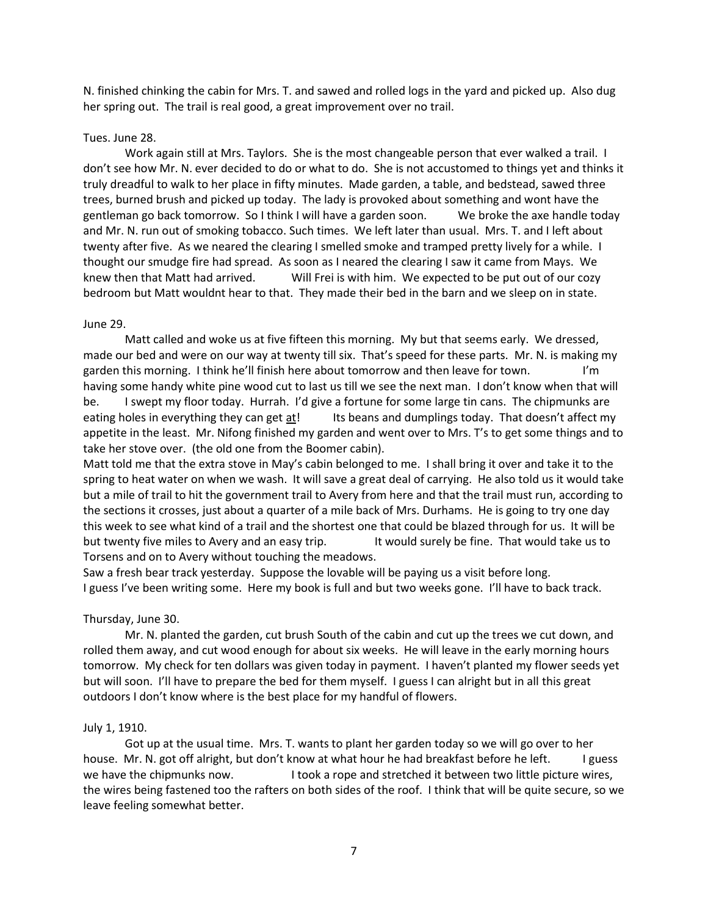N. finished chinking the cabin for Mrs. T. and sawed and rolled logs in the yard and picked up. Also dug her spring out. The trail is real good, a great improvement over no trail.

### Tues. June 28.

Work again still at Mrs. Taylors. She is the most changeable person that ever walked a trail. I don't see how Mr. N. ever decided to do or what to do. She is not accustomed to things yet and thinks it truly dreadful to walk to her place in fifty minutes. Made garden, a table, and bedstead, sawed three trees, burned brush and picked up today. The lady is provoked about something and wont have the gentleman go back tomorrow. So I think I will have a garden soon. We broke the axe handle today and Mr. N. run out of smoking tobacco. Such times. We left later than usual. Mrs. T. and I left about twenty after five. As we neared the clearing I smelled smoke and tramped pretty lively for a while. I thought our smudge fire had spread. As soon as I neared the clearing I saw it came from Mays. We knew then that Matt had arrived. Will Frei is with him. We expected to be put out of our cozy bedroom but Matt wouldnt hear to that. They made their bed in the barn and we sleep on in state.

### June 29.

Matt called and woke us at five fifteen this morning. My but that seems early. We dressed, made our bed and were on our way at twenty till six. That's speed for these parts. Mr. N. is making my garden this morning. I think he'll finish here about tomorrow and then leave for town. I'm having some handy white pine wood cut to last us till we see the next man. I don't know when that will be. I swept my floor today. Hurrah. I'd give a fortune for some large tin cans. The chipmunks are eating holes in everything they can get at! Its beans and dumplings today. That doesn't affect my appetite in the least. Mr. Nifong finished my garden and went over to Mrs. T's to get some things and to take her stove over. (the old one from the Boomer cabin).

Matt told me that the extra stove in May's cabin belonged to me. I shall bring it over and take it to the spring to heat water on when we wash. It will save a great deal of carrying. He also told us it would take but a mile of trail to hit the government trail to Avery from here and that the trail must run, according to the sections it crosses, just about a quarter of a mile back of Mrs. Durhams. He is going to try one day this week to see what kind of a trail and the shortest one that could be blazed through for us. It will be but twenty five miles to Avery and an easy trip. It would surely be fine. That would take us to Torsens and on to Avery without touching the meadows.

Saw a fresh bear track yesterday. Suppose the lovable will be paying us a visit before long. I guess I've been writing some. Here my book is full and but two weeks gone. I'll have to back track.

### Thursday, June 30.

Mr. N. planted the garden, cut brush South of the cabin and cut up the trees we cut down, and rolled them away, and cut wood enough for about six weeks. He will leave in the early morning hours tomorrow. My check for ten dollars was given today in payment. I haven't planted my flower seeds yet but will soon. I'll have to prepare the bed for them myself. I guess I can alright but in all this great outdoors I don't know where is the best place for my handful of flowers.

### July 1, 1910.

Got up at the usual time. Mrs. T. wants to plant her garden today so we will go over to her house. Mr. N. got off alright, but don't know at what hour he had breakfast before he left. I guess we have the chipmunks now. I took a rope and stretched it between two little picture wires, the wires being fastened too the rafters on both sides of the roof. I think that will be quite secure, so we leave feeling somewhat better.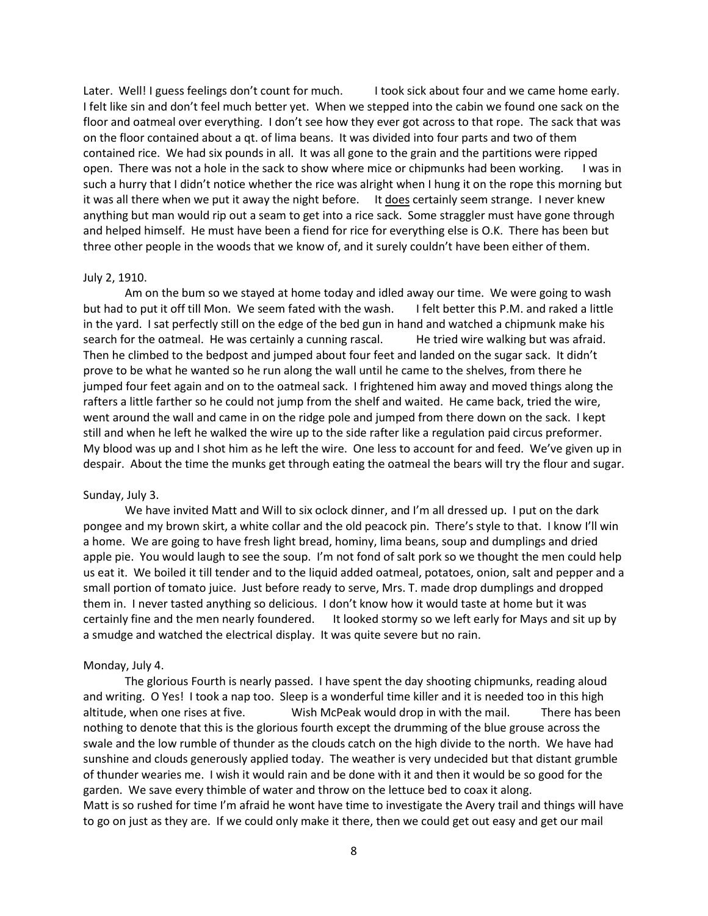Later. Well! I guess feelings don't count for much. I took sick about four and we came home early. I felt like sin and don't feel much better yet. When we stepped into the cabin we found one sack on the floor and oatmeal over everything. I don't see how they ever got across to that rope. The sack that was on the floor contained about a qt. of lima beans. It was divided into four parts and two of them contained rice. We had six pounds in all. It was all gone to the grain and the partitions were ripped open. There was not a hole in the sack to show where mice or chipmunks had been working. I was in such a hurry that I didn't notice whether the rice was alright when I hung it on the rope this morning but it was all there when we put it away the night before. It does certainly seem strange. I never knew anything but man would rip out a seam to get into a rice sack. Some straggler must have gone through and helped himself. He must have been a fiend for rice for everything else is O.K. There has been but three other people in the woods that we know of, and it surely couldn't have been either of them.

#### July 2, 1910.

Am on the bum so we stayed at home today and idled away our time. We were going to wash but had to put it off till Mon. We seem fated with the wash. I felt better this P.M. and raked a little in the yard. I sat perfectly still on the edge of the bed gun in hand and watched a chipmunk make his search for the oatmeal. He was certainly a cunning rascal. He tried wire walking but was afraid. Then he climbed to the bedpost and jumped about four feet and landed on the sugar sack. It didn't prove to be what he wanted so he run along the wall until he came to the shelves, from there he jumped four feet again and on to the oatmeal sack. I frightened him away and moved things along the rafters a little farther so he could not jump from the shelf and waited. He came back, tried the wire, went around the wall and came in on the ridge pole and jumped from there down on the sack. I kept still and when he left he walked the wire up to the side rafter like a regulation paid circus preformer. My blood was up and I shot him as he left the wire. One less to account for and feed. We've given up in despair. About the time the munks get through eating the oatmeal the bears will try the flour and sugar.

### Sunday, July 3.

We have invited Matt and Will to six oclock dinner, and I'm all dressed up. I put on the dark pongee and my brown skirt, a white collar and the old peacock pin. There's style to that. I know I'll win a home. We are going to have fresh light bread, hominy, lima beans, soup and dumplings and dried apple pie. You would laugh to see the soup. I'm not fond of salt pork so we thought the men could help us eat it. We boiled it till tender and to the liquid added oatmeal, potatoes, onion, salt and pepper and a small portion of tomato juice. Just before ready to serve, Mrs. T. made drop dumplings and dropped them in. I never tasted anything so delicious. I don't know how it would taste at home but it was certainly fine and the men nearly foundered. It looked stormy so we left early for Mays and sit up by a smudge and watched the electrical display. It was quite severe but no rain.

#### Monday, July 4.

The glorious Fourth is nearly passed. I have spent the day shooting chipmunks, reading aloud and writing. O Yes! I took a nap too. Sleep is a wonderful time killer and it is needed too in this high altitude, when one rises at five. Wish McPeak would drop in with the mail. There has been nothing to denote that this is the glorious fourth except the drumming of the blue grouse across the swale and the low rumble of thunder as the clouds catch on the high divide to the north. We have had sunshine and clouds generously applied today. The weather is very undecided but that distant grumble of thunder wearies me. I wish it would rain and be done with it and then it would be so good for the garden. We save every thimble of water and throw on the lettuce bed to coax it along. Matt is so rushed for time I'm afraid he wont have time to investigate the Avery trail and things will have to go on just as they are. If we could only make it there, then we could get out easy and get our mail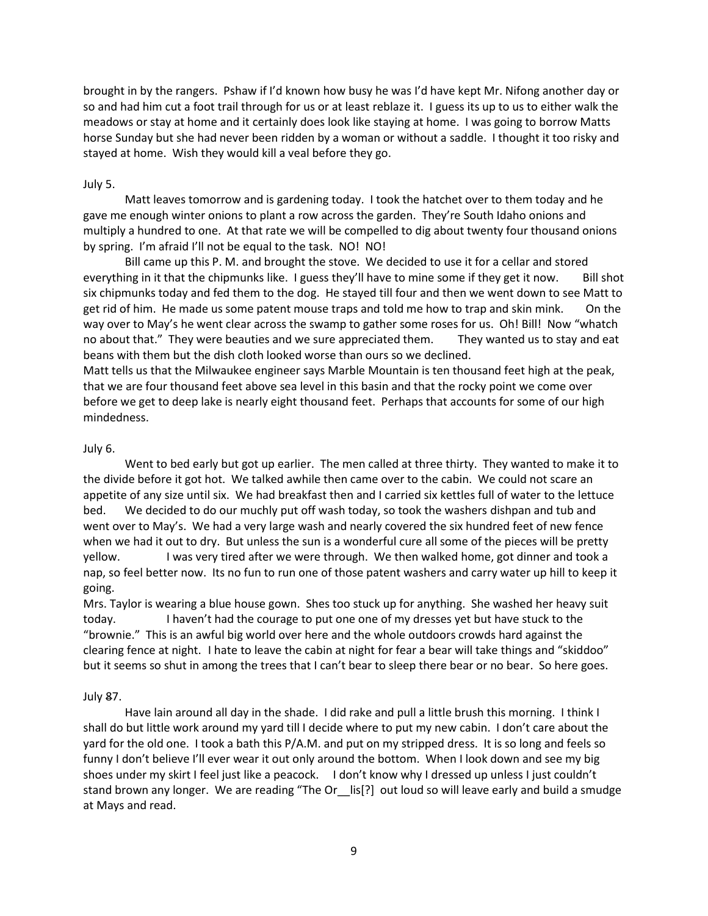brought in by the rangers. Pshaw if I'd known how busy he was I'd have kept Mr. Nifong another day or so and had him cut a foot trail through for us or at least reblaze it. I guess its up to us to either walk the meadows or stay at home and it certainly does look like staying at home. I was going to borrow Matts horse Sunday but she had never been ridden by a woman or without a saddle. I thought it too risky and stayed at home. Wish they would kill a veal before they go.

### July 5.

Matt leaves tomorrow and is gardening today. I took the hatchet over to them today and he gave me enough winter onions to plant a row across the garden. They're South Idaho onions and multiply a hundred to one. At that rate we will be compelled to dig about twenty four thousand onions by spring. I'm afraid I'll not be equal to the task. NO! NO!

Bill came up this P. M. and brought the stove. We decided to use it for a cellar and stored everything in it that the chipmunks like. I guess they'll have to mine some if they get it now. Bill shot six chipmunks today and fed them to the dog. He stayed till four and then we went down to see Matt to get rid of him. He made us some patent mouse traps and told me how to trap and skin mink. On the way over to May's he went clear across the swamp to gather some roses for us. Oh! Bill! Now "whatch no about that." They were beauties and we sure appreciated them. They wanted us to stay and eat beans with them but the dish cloth looked worse than ours so we declined.

Matt tells us that the Milwaukee engineer says Marble Mountain is ten thousand feet high at the peak, that we are four thousand feet above sea level in this basin and that the rocky point we come over before we get to deep lake is nearly eight thousand feet. Perhaps that accounts for some of our high mindedness.

### July 6.

Went to bed early but got up earlier. The men called at three thirty. They wanted to make it to the divide before it got hot. We talked awhile then came over to the cabin. We could not scare an appetite of any size until six. We had breakfast then and I carried six kettles full of water to the lettuce bed. We decided to do our muchly put off wash today, so took the washers dishpan and tub and went over to May's. We had a very large wash and nearly covered the six hundred feet of new fence when we had it out to dry. But unless the sun is a wonderful cure all some of the pieces will be pretty yellow. I was very tired after we were through. We then walked home, got dinner and took a nap, so feel better now. Its no fun to run one of those patent washers and carry water up hill to keep it going.

Mrs. Taylor is wearing a blue house gown. Shes too stuck up for anything. She washed her heavy suit today. I haven't had the courage to put one one of my dresses yet but have stuck to the "brownie." This is an awful big world over here and the whole outdoors crowds hard against the clearing fence at night. I hate to leave the cabin at night for fear a bear will take things and "skiddoo" but it seems so shut in among the trees that I can't bear to sleep there bear or no bear. So here goes.

### July 87.

Have lain around all day in the shade. I did rake and pull a little brush this morning. I think I shall do but little work around my yard till I decide where to put my new cabin. I don't care about the yard for the old one. I took a bath this P/A.M. and put on my stripped dress. It is so long and feels so funny I don't believe I'll ever wear it out only around the bottom. When I look down and see my big shoes under my skirt I feel just like a peacock. I don't know why I dressed up unless I just couldn't stand brown any longer. We are reading "The Or Lis[?] out loud so will leave early and build a smudge at Mays and read.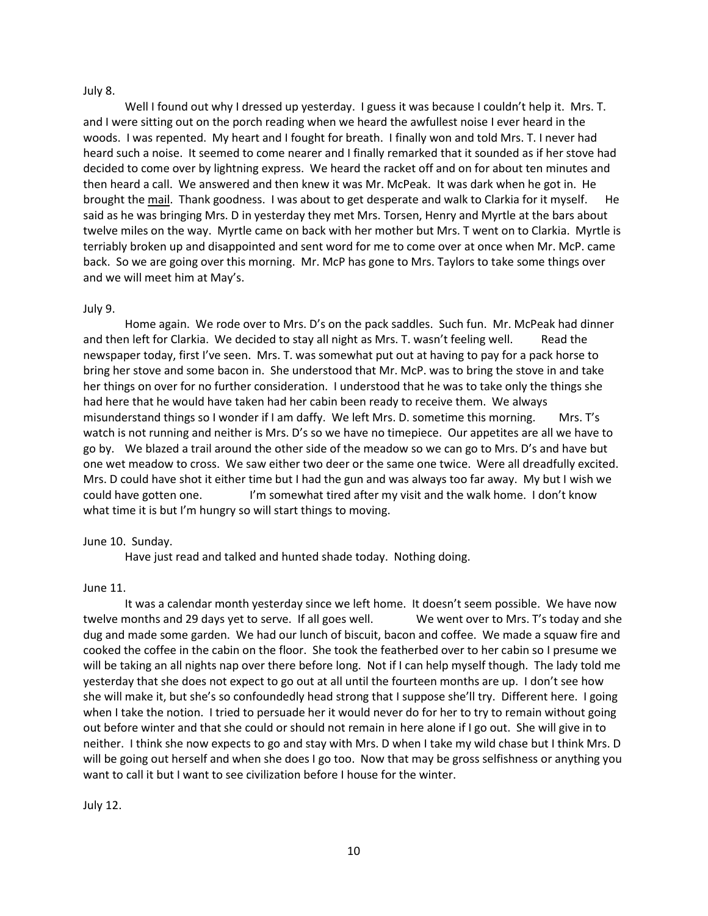### July 8.

Well I found out why I dressed up yesterday. I guess it was because I couldn't help it. Mrs. T. and I were sitting out on the porch reading when we heard the awfullest noise I ever heard in the woods. I was repented. My heart and I fought for breath. I finally won and told Mrs. T. I never had heard such a noise. It seemed to come nearer and I finally remarked that it sounded as if her stove had decided to come over by lightning express. We heard the racket off and on for about ten minutes and then heard a call. We answered and then knew it was Mr. McPeak. It was dark when he got in. He brought the mail. Thank goodness. I was about to get desperate and walk to Clarkia for it myself. He said as he was bringing Mrs. D in yesterday they met Mrs. Torsen, Henry and Myrtle at the bars about twelve miles on the way. Myrtle came on back with her mother but Mrs. T went on to Clarkia. Myrtle is terriably broken up and disappointed and sent word for me to come over at once when Mr. McP. came back. So we are going over this morning. Mr. McP has gone to Mrs. Taylors to take some things over and we will meet him at May's.

### July 9.

Home again. We rode over to Mrs. D's on the pack saddles. Such fun. Mr. McPeak had dinner and then left for Clarkia. We decided to stay all night as Mrs. T. wasn't feeling well. Read the newspaper today, first I've seen. Mrs. T. was somewhat put out at having to pay for a pack horse to bring her stove and some bacon in. She understood that Mr. McP. was to bring the stove in and take her things on over for no further consideration. I understood that he was to take only the things she had here that he would have taken had her cabin been ready to receive them. We always misunderstand things so I wonder if I am daffy. We left Mrs. D. sometime this morning. Mrs. T's watch is not running and neither is Mrs. D's so we have no timepiece. Our appetites are all we have to go by. We blazed a trail around the other side of the meadow so we can go to Mrs. D's and have but one wet meadow to cross. We saw either two deer or the same one twice. Were all dreadfully excited. Mrs. D could have shot it either time but I had the gun and was always too far away. My but I wish we could have gotten one. I'm somewhat tired after my visit and the walk home. I don't know what time it is but I'm hungry so will start things to moving.

### June 10. Sunday.

Have just read and talked and hunted shade today. Nothing doing.

### June 11.

It was a calendar month yesterday since we left home. It doesn't seem possible. We have now twelve months and 29 days yet to serve. If all goes well. We went over to Mrs. T's today and she dug and made some garden. We had our lunch of biscuit, bacon and coffee. We made a squaw fire and cooked the coffee in the cabin on the floor. She took the featherbed over to her cabin so I presume we will be taking an all nights nap over there before long. Not if I can help myself though. The lady told me yesterday that she does not expect to go out at all until the fourteen months are up. I don't see how she will make it, but she's so confoundedly head strong that I suppose she'll try. Different here. I going when I take the notion. I tried to persuade her it would never do for her to try to remain without going out before winter and that she could or should not remain in here alone if I go out. She will give in to neither. I think she now expects to go and stay with Mrs. D when I take my wild chase but I think Mrs. D will be going out herself and when she does I go too. Now that may be gross selfishness or anything you want to call it but I want to see civilization before I house for the winter.

July 12.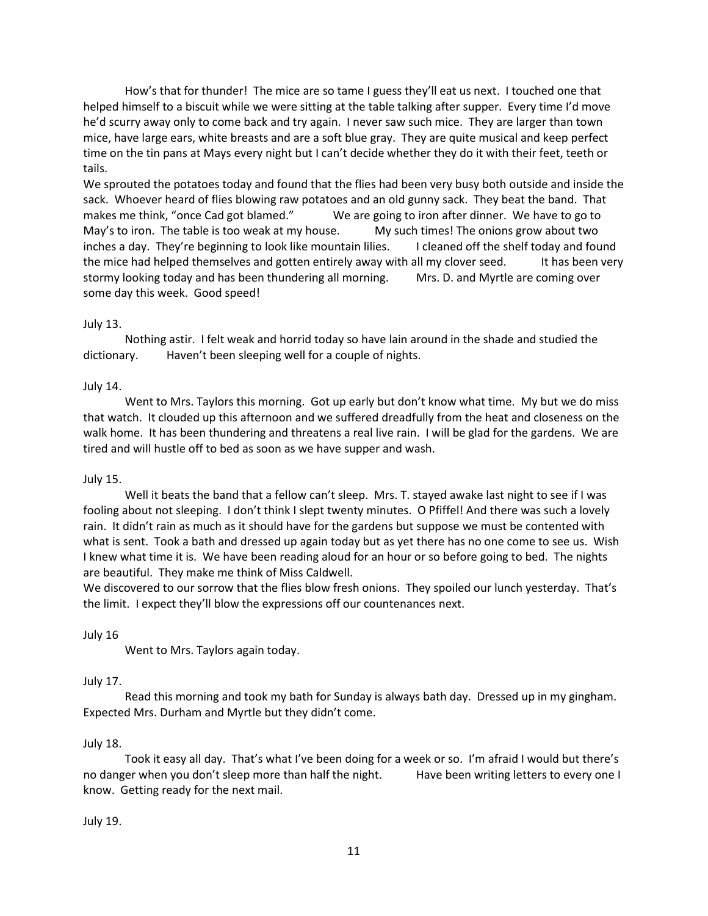How's that for thunder! The mice are so tame I guess they'll eat us next. I touched one that helped himself to a biscuit while we were sitting at the table talking after supper. Every time I'd move he'd scurry away only to come back and try again. I never saw such mice. They are larger than town mice, have large ears, white breasts and are a soft blue gray. They are quite musical and keep perfect time on the tin pans at Mays every night but I can't decide whether they do it with their feet, teeth or tails.

We sprouted the potatoes today and found that the flies had been very busy both outside and inside the sack. Whoever heard of flies blowing raw potatoes and an old gunny sack. They beat the band. That makes me think, "once Cad got blamed." We are going to iron after dinner. We have to go to May's to iron. The table is too weak at my house. My such times! The onions grow about two inches a day. They're beginning to look like mountain lilies. I cleaned off the shelf today and found the mice had helped themselves and gotten entirely away with all my clover seed. It has been very stormy looking today and has been thundering all morning. Mrs. D. and Myrtle are coming over some day this week. Good speed!

# July 13.

Nothing astir. I felt weak and horrid today so have lain around in the shade and studied the dictionary. Haven't been sleeping well for a couple of nights.

# July 14.

Went to Mrs. Taylors this morning. Got up early but don't know what time. My but we do miss that watch. It clouded up this afternoon and we suffered dreadfully from the heat and closeness on the walk home. It has been thundering and threatens a real live rain. I will be glad for the gardens. We are tired and will hustle off to bed as soon as we have supper and wash.

# July 15.

Well it beats the band that a fellow can't sleep. Mrs. T. stayed awake last night to see if I was fooling about not sleeping. I don't think I slept twenty minutes. O Pfiffel! And there was such a lovely rain. It didn't rain as much as it should have for the gardens but suppose we must be contented with what is sent. Took a bath and dressed up again today but as yet there has no one come to see us. Wish I knew what time it is. We have been reading aloud for an hour or so before going to bed. The nights are beautiful. They make me think of Miss Caldwell.

We discovered to our sorrow that the flies blow fresh onions. They spoiled our lunch yesterday. That's the limit. I expect they'll blow the expressions off our countenances next.

# July 16

Went to Mrs. Taylors again today.

# July 17.

Read this morning and took my bath for Sunday is always bath day. Dressed up in my gingham. Expected Mrs. Durham and Myrtle but they didn't come.

# July 18.

Took it easy all day. That's what I've been doing for a week or so. I'm afraid I would but there's no danger when you don't sleep more than half the night. Have been writing letters to every one I know. Getting ready for the next mail.

# July 19.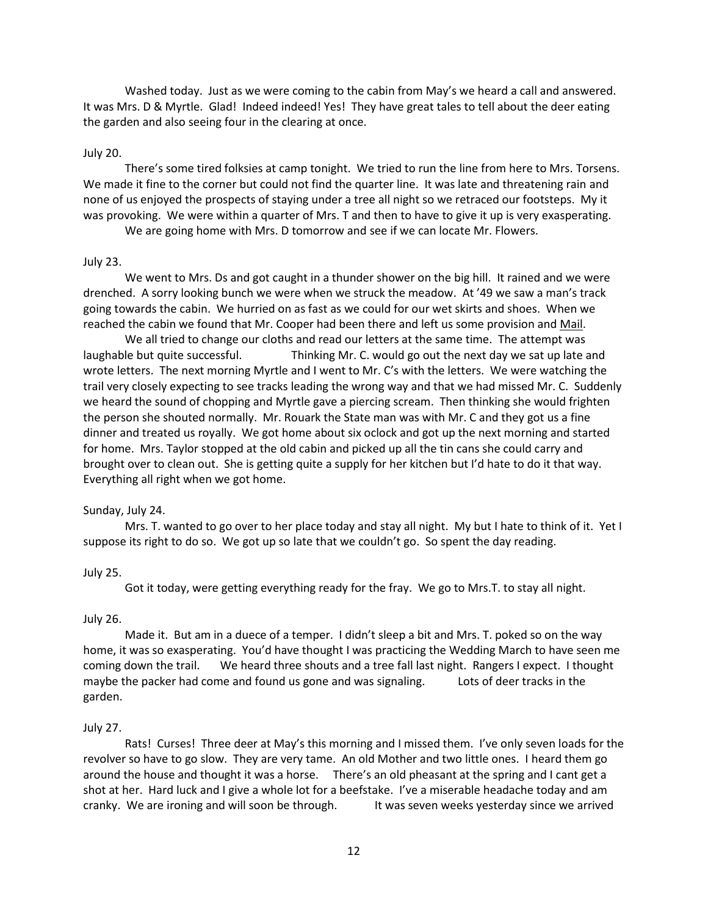Washed today. Just as we were coming to the cabin from May's we heard a call and answered. It was Mrs. D & Myrtle. Glad! Indeed indeed! Yes! They have great tales to tell about the deer eating the garden and also seeing four in the clearing at once.

### July 20.

There's some tired folksies at camp tonight. We tried to run the line from here to Mrs. Torsens. We made it fine to the corner but could not find the quarter line. It was late and threatening rain and none of us enjoyed the prospects of staying under a tree all night so we retraced our footsteps. My it was provoking. We were within a quarter of Mrs. T and then to have to give it up is very exasperating.

We are going home with Mrs. D tomorrow and see if we can locate Mr. Flowers.

### July 23.

We went to Mrs. Ds and got caught in a thunder shower on the big hill. It rained and we were drenched. A sorry looking bunch we were when we struck the meadow. At '49 we saw a man's track going towards the cabin. We hurried on as fast as we could for our wet skirts and shoes. When we reached the cabin we found that Mr. Cooper had been there and left us some provision and Mail.

We all tried to change our cloths and read our letters at the same time. The attempt was laughable but quite successful. Thinking Mr. C. would go out the next day we sat up late and wrote letters. The next morning Myrtle and I went to Mr. C's with the letters. We were watching the trail very closely expecting to see tracks leading the wrong way and that we had missed Mr. C. Suddenly we heard the sound of chopping and Myrtle gave a piercing scream. Then thinking she would frighten the person she shouted normally. Mr. Rouark the State man was with Mr. C and they got us a fine dinner and treated us royally. We got home about six oclock and got up the next morning and started for home. Mrs. Taylor stopped at the old cabin and picked up all the tin cans she could carry and brought over to clean out. She is getting quite a supply for her kitchen but I'd hate to do it that way. Everything all right when we got home.

#### Sunday, July 24.

Mrs. T. wanted to go over to her place today and stay all night. My but I hate to think of it. Yet I suppose its right to do so. We got up so late that we couldn't go. So spent the day reading.

### July 25.

Got it today, were getting everything ready for the fray. We go to Mrs.T. to stay all night.

#### July 26.

Made it. But am in a duece of a temper. I didn't sleep a bit and Mrs. T. poked so on the way home, it was so exasperating. You'd have thought I was practicing the Wedding March to have seen me coming down the trail. We heard three shouts and a tree fall last night. Rangers I expect. I thought maybe the packer had come and found us gone and was signaling. Lots of deer tracks in the garden.

#### July 27.

Rats! Curses! Three deer at May's this morning and I missed them. I've only seven loads for the revolver so have to go slow. They are very tame. An old Mother and two little ones. I heard them go around the house and thought it was a horse. There's an old pheasant at the spring and I cant get a shot at her. Hard luck and I give a whole lot for a beefstake. I've a miserable headache today and am cranky. We are ironing and will soon be through. It was seven weeks yesterday since we arrived